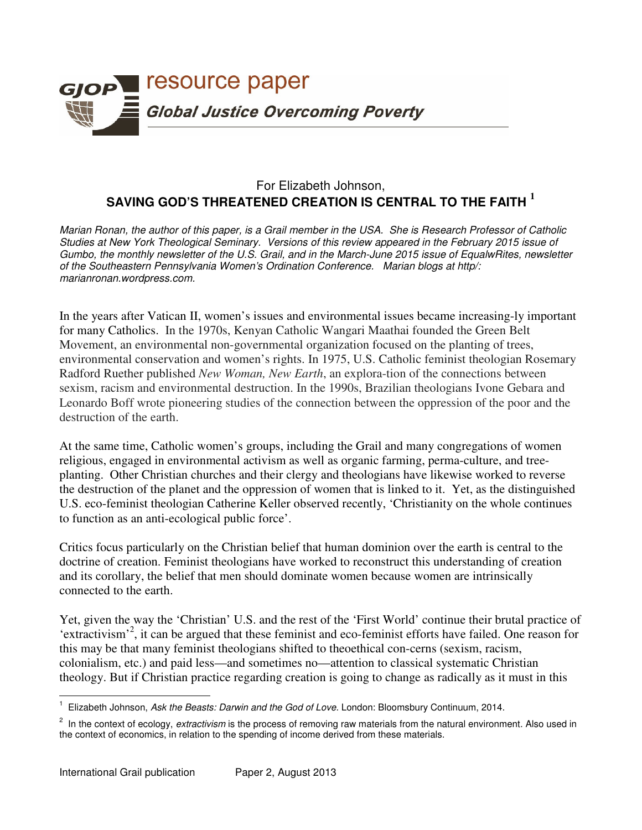

## For Elizabeth Johnson, **SAVING GOD'S THREATENED CREATION IS CENTRAL TO THE FAITH <sup>1</sup>**

*Marian Ronan, the author of this paper, is a Grail member in the USA. She is Research Professor of Catholic Studies at New York Theological Seminary. Versions of this review appeared in the February 2015 issue of Gumbo, the monthly newsletter of the U.S. Grail, and in the March-June 2015 issue of EqualwRites, newsletter of the Southeastern Pennsylvania Women's Ordination Conference. Marian blogs at http/: marianronan.wordpress.com.* 

In the years after Vatican II, women's issues and environmental issues became increasing-ly important for many Catholics. In the 1970s, Kenyan Catholic Wangari Maathai founded the Green Belt Movement, an environmental non-governmental organization focused on the planting of trees, environmental conservation and women's rights. In 1975, U.S. Catholic feminist theologian Rosemary Radford Ruether published *New Woman, New Earth*, an explora-tion of the connections between sexism, racism and environmental destruction. In the 1990s, Brazilian theologians Ivone Gebara and Leonardo Boff wrote pioneering studies of the connection between the oppression of the poor and the destruction of the earth.

At the same time, Catholic women's groups, including the Grail and many congregations of women religious, engaged in environmental activism as well as organic farming, perma-culture, and treeplanting. Other Christian churches and their clergy and theologians have likewise worked to reverse the destruction of the planet and the oppression of women that is linked to it. Yet, as the distinguished U.S. eco-feminist theologian Catherine Keller observed recently, 'Christianity on the whole continues to function as an anti-ecological public force'.

Critics focus particularly on the Christian belief that human dominion over the earth is central to the doctrine of creation. Feminist theologians have worked to reconstruct this understanding of creation and its corollary, the belief that men should dominate women because women are intrinsically connected to the earth.

Yet, given the way the 'Christian' U.S. and the rest of the 'First World' continue their brutal practice of 'extractivism'<sup>2</sup>, it can be argued that these feminist and eco-feminist efforts have failed. One reason for this may be that many feminist theologians shifted to theoethical con-cerns (sexism, racism, colonialism, etc.) and paid less—and sometimes no—attention to classical systematic Christian theology. But if Christian practice regarding creation is going to change as radically as it must in this

 $\overline{\phantom{a}}$ 1 Elizabeth Johnson, *Ask the Beasts: Darwin and the God of Love.* London: Bloomsbury Continuum, 2014.

<sup>2</sup> In the context of ecology, *extractivism* is the process of removing raw materials from the natural environment. Also used in the context of economics, in relation to the spending of income derived from these materials.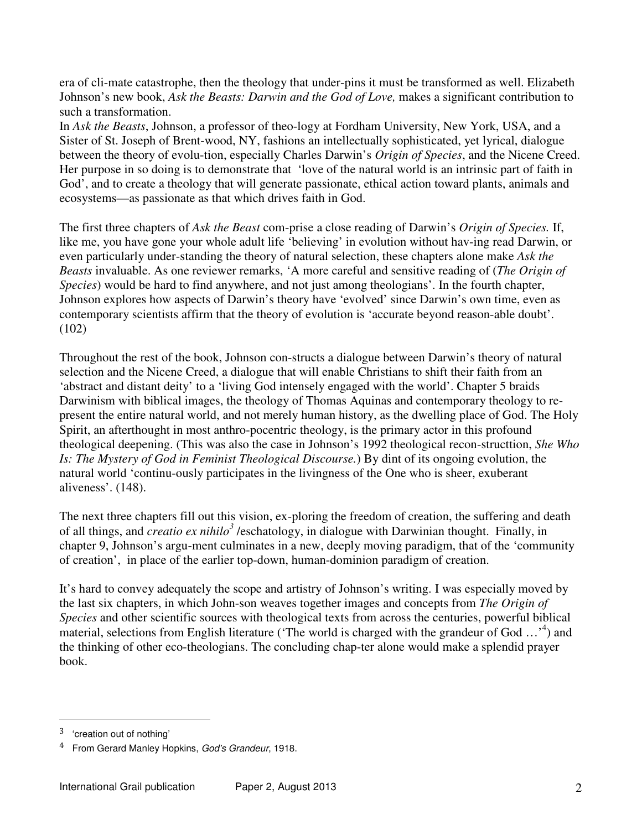era of cli-mate catastrophe, then the theology that under-pins it must be transformed as well. Elizabeth Johnson's new book, *Ask the Beasts: Darwin and the God of Love,* makes a significant contribution to such a transformation.

In *Ask the Beasts*, Johnson, a professor of theo-logy at Fordham University, New York, USA, and a Sister of St. Joseph of Brent-wood, NY, fashions an intellectually sophisticated, yet lyrical, dialogue between the theory of evolu-tion, especially Charles Darwin's *Origin of Species*, and the Nicene Creed. Her purpose in so doing is to demonstrate that 'love of the natural world is an intrinsic part of faith in God', and to create a theology that will generate passionate, ethical action toward plants, animals and ecosystems—as passionate as that which drives faith in God.

The first three chapters of *Ask the Beast* com-prise a close reading of Darwin's *Origin of Species.* If, like me, you have gone your whole adult life 'believing' in evolution without hav-ing read Darwin, or even particularly under-standing the theory of natural selection, these chapters alone make *Ask the Beasts* invaluable. As one reviewer remarks, 'A more careful and sensitive reading of (*The Origin of Species*) would be hard to find anywhere, and not just among theologians'. In the fourth chapter, Johnson explores how aspects of Darwin's theory have 'evolved' since Darwin's own time, even as contemporary scientists affirm that the theory of evolution is 'accurate beyond reason-able doubt'.  $(102)$ 

Throughout the rest of the book, Johnson con-structs a dialogue between Darwin's theory of natural selection and the Nicene Creed, a dialogue that will enable Christians to shift their faith from an 'abstract and distant deity' to a 'living God intensely engaged with the world'. Chapter 5 braids Darwinism with biblical images, the theology of Thomas Aquinas and contemporary theology to represent the entire natural world, and not merely human history, as the dwelling place of God. The Holy Spirit, an afterthought in most anthro-pocentric theology, is the primary actor in this profound theological deepening. (This was also the case in Johnson's 1992 theological recon-structtion, *She Who Is: The Mystery of God in Feminist Theological Discourse.*) By dint of its ongoing evolution, the natural world 'continu-ously participates in the livingness of the One who is sheer, exuberant aliveness'. (148).

The next three chapters fill out this vision, ex-ploring the freedom of creation, the suffering and death of all things, and *creatio ex nihilo<sup>3</sup>* /eschatology, in dialogue with Darwinian thought. Finally, in chapter 9, Johnson's argu-ment culminates in a new, deeply moving paradigm, that of the 'community of creation', in place of the earlier top-down, human-dominion paradigm of creation.

It's hard to convey adequately the scope and artistry of Johnson's writing. I was especially moved by the last six chapters, in which John-son weaves together images and concepts from *The Origin of Species* and other scientific sources with theological texts from across the centuries, powerful biblical material, selections from English literature ('The world is charged with the grandeur of God ...'<sup>4</sup>) and the thinking of other eco-theologians. The concluding chap-ter alone would make a splendid prayer book.

 $\overline{a}$ 

<sup>3</sup> 'creation out of nothing'

<sup>4</sup> From Gerard Manley Hopkins, *God's Grandeur*, 1918.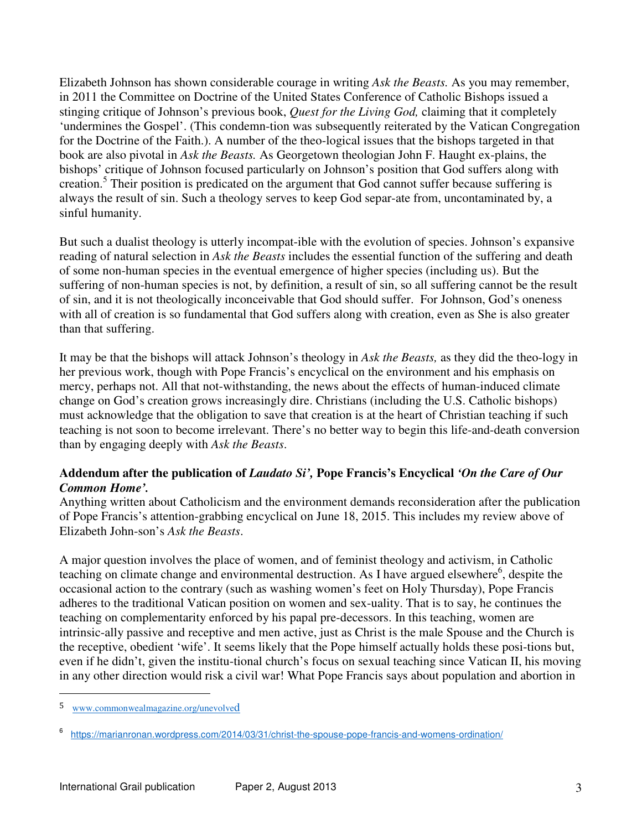Elizabeth Johnson has shown considerable courage in writing *Ask the Beasts.* As you may remember, in 2011 the Committee on Doctrine of the United States Conference of Catholic Bishops issued a stinging critique of Johnson's previous book, *Quest for the Living God,* claiming that it completely 'undermines the Gospel'. (This condemn-tion was subsequently reiterated by the Vatican Congregation for the Doctrine of the Faith.). A number of the theo-logical issues that the bishops targeted in that book are also pivotal in *Ask the Beasts.* As Georgetown theologian John F. Haught ex-plains, the bishops' critique of Johnson focused particularly on Johnson's position that God suffers along with creation.<sup>5</sup> Their position is predicated on the argument that God cannot suffer because suffering is always the result of sin. Such a theology serves to keep God separ-ate from, uncontaminated by, a sinful humanity.

But such a dualist theology is utterly incompat-ible with the evolution of species. Johnson's expansive reading of natural selection in *Ask the Beasts* includes the essential function of the suffering and death of some non-human species in the eventual emergence of higher species (including us). But the suffering of non-human species is not, by definition, a result of sin, so all suffering cannot be the result of sin, and it is not theologically inconceivable that God should suffer. For Johnson, God's oneness with all of creation is so fundamental that God suffers along with creation, even as She is also greater than that suffering.

It may be that the bishops will attack Johnson's theology in *Ask the Beasts,* as they did the theo-logy in her previous work, though with Pope Francis's encyclical on the environment and his emphasis on mercy, perhaps not. All that not-withstanding, the news about the effects of human-induced climate change on God's creation grows increasingly dire. Christians (including the U.S. Catholic bishops) must acknowledge that the obligation to save that creation is at the heart of Christian teaching if such teaching is not soon to become irrelevant. There's no better way to begin this life-and-death conversion than by engaging deeply with *Ask the Beasts*.

## **Addendum after the publication of** *Laudato Si',* **Pope Francis's Encyclical** *'On the Care of Our Common Home'.*

Anything written about Catholicism and the environment demands reconsideration after the publication of Pope Francis's attention-grabbing encyclical on June 18, 2015. This includes my review above of Elizabeth John-son's *Ask the Beasts*.

A major question involves the place of women, and of feminist theology and activism, in Catholic teaching on climate change and environmental destruction. As I have argued elsewhere<sup>6</sup>, despite the occasional action to the contrary (such as washing women's feet on Holy Thursday), Pope Francis adheres to the traditional Vatican position on women and sex-uality. That is to say, he continues the teaching on complementarity enforced by his papal pre-decessors. In this teaching, women are intrinsic-ally passive and receptive and men active, just as Christ is the male Spouse and the Church is the receptive, obedient 'wife'. It seems likely that the Pope himself actually holds these posi-tions but, even if he didn't, given the institu-tional church's focus on sexual teaching since Vatican II, his moving in any other direction would risk a civil war! What Pope Francis says about population and abortion in

 $\overline{a}$ 

<sup>5</sup> www.commonwealmagazine.org/unevolved

<sup>6</sup> https://marianronan.wordpress.com/2014/03/31/christ-the-spouse-pope-francis-and-womens-ordination/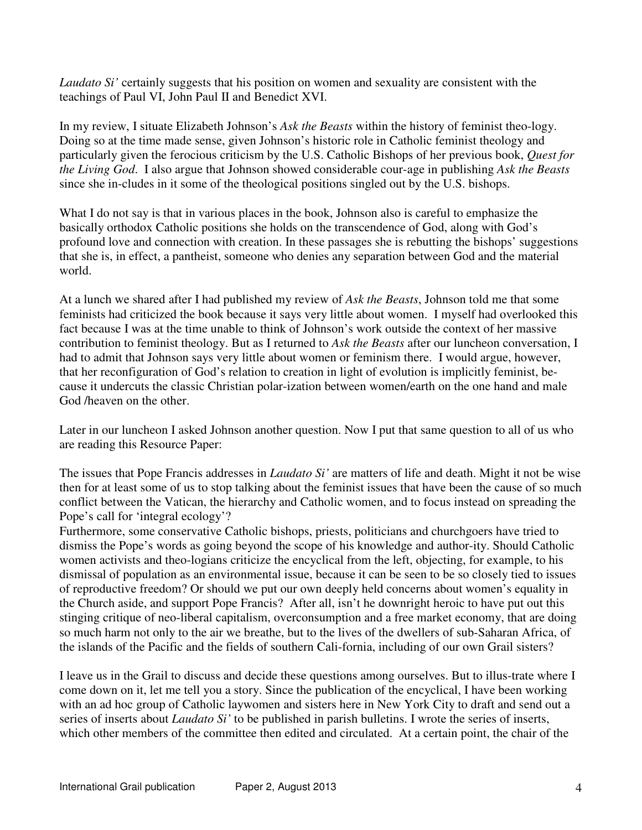*Laudato Si'* certainly suggests that his position on women and sexuality are consistent with the teachings of Paul VI, John Paul II and Benedict XVI.

In my review, I situate Elizabeth Johnson's *Ask the Beasts* within the history of feminist theo-logy. Doing so at the time made sense, given Johnson's historic role in Catholic feminist theology and particularly given the ferocious criticism by the U.S. Catholic Bishops of her previous book, *Quest for the Living God*. I also argue that Johnson showed considerable cour-age in publishing *Ask the Beasts* since she in-cludes in it some of the theological positions singled out by the U.S. bishops.

What I do not say is that in various places in the book, Johnson also is careful to emphasize the basically orthodox Catholic positions she holds on the transcendence of God, along with God's profound love and connection with creation. In these passages she is rebutting the bishops' suggestions that she is, in effect, a pantheist, someone who denies any separation between God and the material world.

At a lunch we shared after I had published my review of *Ask the Beasts*, Johnson told me that some feminists had criticized the book because it says very little about women. I myself had overlooked this fact because I was at the time unable to think of Johnson's work outside the context of her massive contribution to feminist theology. But as I returned to *Ask the Beasts* after our luncheon conversation, I had to admit that Johnson says very little about women or feminism there. I would argue, however, that her reconfiguration of God's relation to creation in light of evolution is implicitly feminist, because it undercuts the classic Christian polar-ization between women/earth on the one hand and male God /heaven on the other.

Later in our luncheon I asked Johnson another question. Now I put that same question to all of us who are reading this Resource Paper:

The issues that Pope Francis addresses in *Laudato Si'* are matters of life and death. Might it not be wise then for at least some of us to stop talking about the feminist issues that have been the cause of so much conflict between the Vatican, the hierarchy and Catholic women, and to focus instead on spreading the Pope's call for 'integral ecology'?

Furthermore, some conservative Catholic bishops, priests, politicians and churchgoers have tried to dismiss the Pope's words as going beyond the scope of his knowledge and author-ity. Should Catholic women activists and theo-logians criticize the encyclical from the left, objecting, for example, to his dismissal of population as an environmental issue, because it can be seen to be so closely tied to issues of reproductive freedom? Or should we put our own deeply held concerns about women's equality in the Church aside, and support Pope Francis? After all, isn't he downright heroic to have put out this stinging critique of neo-liberal capitalism, overconsumption and a free market economy, that are doing so much harm not only to the air we breathe, but to the lives of the dwellers of sub-Saharan Africa, of the islands of the Pacific and the fields of southern Cali-fornia, including of our own Grail sisters?

I leave us in the Grail to discuss and decide these questions among ourselves. But to illus-trate where I come down on it, let me tell you a story. Since the publication of the encyclical, I have been working with an ad hoc group of Catholic laywomen and sisters here in New York City to draft and send out a series of inserts about *Laudato Si'* to be published in parish bulletins. I wrote the series of inserts, which other members of the committee then edited and circulated. At a certain point, the chair of the